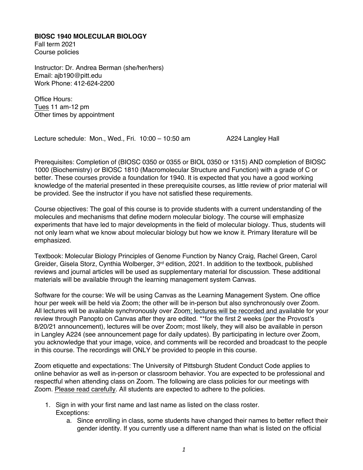## **BIOSC 1940 MOLECULAR BIOLOGY**

Fall term 2021 Course policies

Instructor: Dr. Andrea Berman (she/her/hers) Email: ajb190@pitt.edu Work Phone: 412-624-2200

Office Hours: Tues 11 am-12 pm Other times by appointment

Lecture schedule: Mon., Wed., Fri. 10:00 – 10:50 am A224 Langley Hall

Prerequisites: Completion of (BIOSC 0350 or 0355 or BIOL 0350 or 1315) AND completion of BIOSC 1000 (Biochemistry) or BIOSC 1810 (Macromolecular Structure and Function) with a grade of C or better. These courses provide a foundation for 1940. It is expected that you have a good working knowledge of the material presented in these prerequisite courses, as little review of prior material will be provided. See the instructor if you have not satisfied these requirements.

Course objectives: The goal of this course is to provide students with a current understanding of the molecules and mechanisms that define modern molecular biology. The course will emphasize experiments that have led to major developments in the field of molecular biology. Thus, students will not only learn what we know about molecular biology but how we know it. Primary literature will be emphasized.

Textbook: Molecular Biology Principles of Genome Function by Nancy Craig, Rachel Green, Carol Greider, Gisela Storz, Cynthia Wolberger, 3<sup>rd</sup> edition, 2021. In addition to the textbook, published reviews and journal articles will be used as supplementary material for discussion. These additional materials will be available through the learning management system Canvas.

Software for the course: We will be using Canvas as the Learning Management System. One office hour per week will be held via Zoom; the other will be in-person but also synchronously over Zoom. All lectures will be available synchronously over Zoom; lectures will be recorded and available for your review through Panopto on Canvas after they are edited. \*\*for the first 2 weeks (per the Provost's 8/20/21 announcement), lectures will be over Zoom; most likely, they will also be available in person in Langley A224 (see announcement page for daily updates). By participating in lecture over Zoom, you acknowledge that your image, voice, and comments will be recorded and broadcast to the people in this course. The recordings will ONLY be provided to people in this course.

Zoom etiquette and expectations: The University of Pittsburgh Student Conduct Code applies to online behavior as well as in-person or classroom behavior. You are expected to be professional and respectful when attending class on Zoom. The following are class policies for our meetings with Zoom. Please read carefully. All students are expected to adhere to the policies.

- 1. Sign in with your first name and last name as listed on the class roster. Exceptions:
	- a. Since enrolling in class, some students have changed their names to better reflect their gender identity. If you currently use a different name than what is listed on the official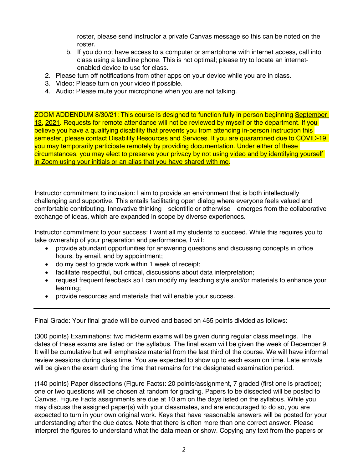roster, please send instructor a private Canvas message so this can be noted on the roster.

- b. If you do not have access to a computer or smartphone with internet access, call into class using a landline phone. This is not optimal; please try to locate an internetenabled device to use for class.
- 2. Please turn off notifications from other apps on your device while you are in class.
- 3. Video: Please turn on your video if possible.
- 4. Audio: Please mute your microphone when you are not talking.

ZOOM ADDENDUM 8/30/21: This course is designed to function fully in person beginning September 13, 2021. Requests for remote attendance will not be reviewed by myself or the department. If you believe you have a qualifying disability that prevents you from attending in-person instruction this semester, please contact Disability Resources and Services. If you are quarantined due to COVID-19, you may temporarily participate remotely by providing documentation. Under either of these circumstances, you may elect to preserve your privacy by not using video and by identifying yourself in Zoom using your initials or an alias that you have shared with me.

Instructor commitment to inclusion: I aim to provide an environment that is both intellectually challenging and supportive. This entails facilitating open dialog where everyone feels valued and comfortable contributing. Innovative thinking—scientific or otherwise—emerges from the collaborative exchange of ideas, which are expanded in scope by diverse experiences.

Instructor commitment to your success: I want all my students to succeed. While this requires you to take ownership of your preparation and performance, I will:

- provide abundant opportunities for answering questions and discussing concepts in office hours, by email, and by appointment;
- do my best to grade work within 1 week of receipt;
- facilitate respectful, but critical, discussions about data interpretation;
- request frequent feedback so I can modify my teaching style and/or materials to enhance your learning;
- provide resources and materials that will enable your success.

Final Grade: Your final grade will be curved and based on 455 points divided as follows:

(300 points) Examinations: two mid-term exams will be given during regular class meetings. The dates of these exams are listed on the syllabus. The final exam will be given the week of December 9. It will be cumulative but will emphasize material from the last third of the course. We will have informal review sessions during class time. You are expected to show up to each exam on time. Late arrivals will be given the exam during the time that remains for the designated examination period.

(140 points) Paper dissections (Figure Facts): 20 points/assignment, 7 graded (first one is practice); one or two questions will be chosen at random for grading. Papers to be dissected will be posted to Canvas. Figure Facts assignments are due at 10 am on the days listed on the syllabus. While you may discuss the assigned paper(s) with your classmates, and are encouraged to do so, you are expected to turn in your own original work. Keys that have reasonable answers will be posted for your understanding after the due dates. Note that there is often more than one correct answer. Please interpret the figures to understand what the data mean or show. Copying any text from the papers or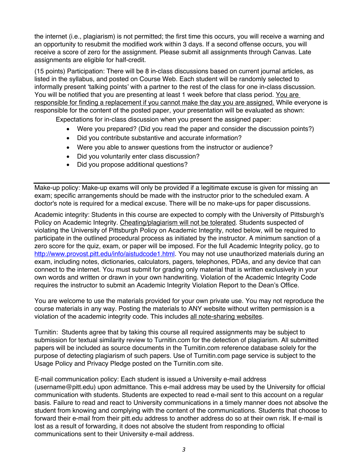the internet (i.e., plagiarism) is not permitted; the first time this occurs, you will receive a warning and an opportunity to resubmit the modified work within 3 days. If a second offense occurs, you will receive a score of zero for the assignment. Please submit all assignments through Canvas. Late assignments are eligible for half-credit.

(15 points) Participation: There will be 8 in-class discussions based on current journal articles, as listed in the syllabus, and posted on Course Web. Each student will be randomly selected to informally present 'talking points' with a partner to the rest of the class for one in-class discussion. You will be notified that you are presenting at least 1 week before that class period. You are responsible for finding a replacement if you cannot make the day you are assigned. While everyone is responsible for the content of the posted paper, your presentation will be evaluated as shown:

Expectations for in-class discussion when you present the assigned paper:

- Were you prepared? (Did you read the paper and consider the discussion points?)
- Did you contribute substantive and accurate information?
- Were you able to answer questions from the instructor or audience?
- Did you voluntarily enter class discussion?
- Did you propose additional questions?

Make-up policy: Make-up exams will only be provided if a legitimate excuse is given for missing an exam; specific arrangements should be made with the instructor prior to the scheduled exam. A doctor's note is required for a medical excuse. There will be no make-ups for paper discussions.

Academic integrity: Students in this course are expected to comply with the University of Pittsburgh's Policy on Academic Integrity. Cheating/plagiarism will not be tolerated. Students suspected of violating the University of Pittsburgh Policy on Academic Integrity, noted below, will be required to participate in the outlined procedural process as initiated by the instructor. A minimum sanction of a zero score for the quiz, exam, or paper will be imposed. For the full Academic Integrity policy, go to http://www.provost.pitt.edu/info/aistudcode1.html. You may not use unauthorized materials during an exam, including notes, dictionaries, calculators, pagers, telephones, PDAs, and any device that can connect to the internet. You must submit for grading only material that is written exclusively in your own words and written or drawn in your own handwriting. Violation of the Academic Integrity Code requires the instructor to submit an Academic Integrity Violation Report to the Dean's Office.

You are welcome to use the materials provided for your own private use. You may not reproduce the course materials in any way. Posting the materials to ANY website without written permission is a violation of the academic integrity code. This includes all note-sharing websites.

Turnitin: Students agree that by taking this course all required assignments may be subject to submission for textual similarity review to Turnitin.com for the detection of plagiarism. All submitted papers will be included as source documents in the Turnitin.com reference database solely for the purpose of detecting plagiarism of such papers. Use of Turnitin.com page service is subject to the Usage Policy and Privacy Pledge posted on the Turnitin.com site.

E-mail communication policy: Each student is issued a University e-mail address (username@pitt.edu) upon admittance. This e-mail address may be used by the University for official communication with students. Students are expected to read e-mail sent to this account on a regular basis. Failure to read and react to University communications in a timely manner does not absolve the student from knowing and complying with the content of the communications. Students that choose to forward their e-mail from their pitt.edu address to another address do so at their own risk. If e-mail is lost as a result of forwarding, it does not absolve the student from responding to official communications sent to their University e-mail address.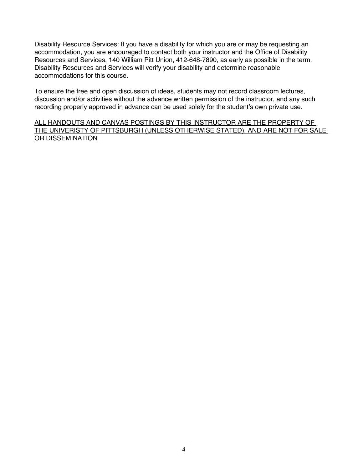Disability Resource Services: If you have a disability for which you are or may be requesting an accommodation, you are encouraged to contact both your instructor and the Office of Disability Resources and Services, 140 William Pitt Union, 412-648-7890, as early as possible in the term. Disability Resources and Services will verify your disability and determine reasonable accommodations for this course.

To ensure the free and open discussion of ideas, students may not record classroom lectures, discussion and/or activities without the advance written permission of the instructor, and any such recording properly approved in advance can be used solely for the student's own private use.

ALL HANDOUTS AND CANVAS POSTINGS BY THIS INSTRUCTOR ARE THE PROPERTY OF THE UNIVERISTY OF PITTSBURGH (UNLESS OTHERWISE STATED), AND ARE NOT FOR SALE OR DISSEMINATION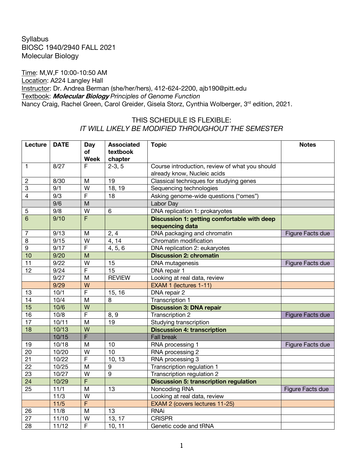## **Syllabus** BIOSC 1940/2940 FALL 2021 Molecular Biology

Time: M,W,F 10:00-10:50 AM Location: A224 Langley Hall Instructor: Dr. Andrea Berman (she/her/hers), 412-624-2200, ajb190@pitt.edu Textbook: **Molecular Biology** *Principles of Genome Function* Nancy Craig, Rachel Green, Carol Greider, Gisela Storz, Cynthia Wolberger, 3<sup>rd</sup> edition, 2021.

## THIS SCHEDULE IS FLEXIBLE: *IT WILL LIKELY BE MODIFIED THROUGHOUT THE SEMESTER*

| Lecture         | <b>DATE</b> | <b>Day</b>     | <b>Associated</b> | <b>Topic</b>                                   | <b>Notes</b>            |
|-----------------|-------------|----------------|-------------------|------------------------------------------------|-------------------------|
|                 |             | <b>of</b>      | textbook          |                                                |                         |
|                 |             | Week           | chapter           |                                                |                         |
| 1               | 8/27        | F              | $2-3, 5$          | Course introduction, review of what you should |                         |
|                 |             |                |                   | already know, Nucleic acids                    |                         |
| $\overline{c}$  | 8/30        | M              | 19                | Classical techniques for studying genes        |                         |
| 3               | 9/1         | W              | 18, 19            | Sequencing technologies                        |                         |
| 4               | 9/3         | $\overline{F}$ | 18                | Asking genome-wide questions ("omes")          |                         |
|                 | 9/6         | $\overline{M}$ |                   | Labor Day                                      |                         |
| 5               | 9/8         | W              | $6\phantom{1}6$   | DNA replication 1: prokaryotes                 |                         |
| 6               | 9/10        | F              |                   | Discussion 1: getting comfortable with deep    |                         |
|                 |             |                |                   | sequencing data                                |                         |
| 7               | 9/13        | M              | 2, 4              | DNA packaging and chromatin                    | Figure Facts due        |
| 8               | 9/15        | W              | 4, 14             | Chromatin modification                         |                         |
| 9               | 9/17        | F              | 4, 5, 6           | DNA replication 2: eukaryotes                  |                         |
| 10              | 9/20        | M              |                   | <b>Discussion 2: chromatin</b>                 |                         |
| 11              | 9/22        | W              | 15                | DNA mutagenesis                                | Figure Facts due        |
| 12              | 9/24        | $\overline{F}$ | 15                | DNA repair 1                                   |                         |
|                 | 9/27        | M              | <b>REVIEW</b>     | Looking at real data, review                   |                         |
|                 | 9/29        | W              |                   | EXAM 1 (lectures 1-11)                         |                         |
| 13              | 10/1        | F              | 15, 16            | DNA repair 2                                   |                         |
| 14              | 10/4        | M              | 8                 | Transcription 1                                |                         |
| $\overline{15}$ | 10/6        | $\overline{W}$ |                   | <b>Discussion 3: DNA repair</b>                |                         |
| $\overline{16}$ | 10/8        | F              | 8, 9              | Transcription 2                                | <b>Figure Facts due</b> |
| $\overline{17}$ | 10/11       | M              | 19                | Studying transcription                         |                         |
| 18              | 10/13       | W              |                   | <b>Discussion 4: transcription</b>             |                         |
|                 | 10/15       | F              |                   | <b>Fall break</b>                              |                         |
| 19              | 10/18       | M              | 10                | RNA processing 1                               | Figure Facts due        |
| 20              | 10/20       | W              | 10                | RNA processing 2                               |                         |
| 21              | 10/22       | $\overline{F}$ | 10, 13            | RNA processing 3                               |                         |
| 22              | 10/25       | M              | 9                 | Transcription regulation 1                     |                         |
| 23              | 10/27       | W              | 9                 | Transcription regulation 2                     |                         |
| 24              | 10/29       | F              |                   | <b>Discussion 5: transcription regulation</b>  |                         |
| 25              | 11/1        | M              | 13                | Noncoding RNA                                  | Figure Facts due        |
|                 | 11/3        | $\overline{W}$ |                   | Looking at real data, review                   |                         |
|                 | 11/5        | F              |                   | EXAM 2 (covers lectures 11-25)                 |                         |
| 26              | 11/8        | M              | 13                | <b>RNAi</b>                                    |                         |
| 27              | 11/10       | W              | 13, 17            | <b>CRISPR</b>                                  |                         |
| 28              | 11/12       | F              | 10, 11            | Genetic code and tRNA                          |                         |